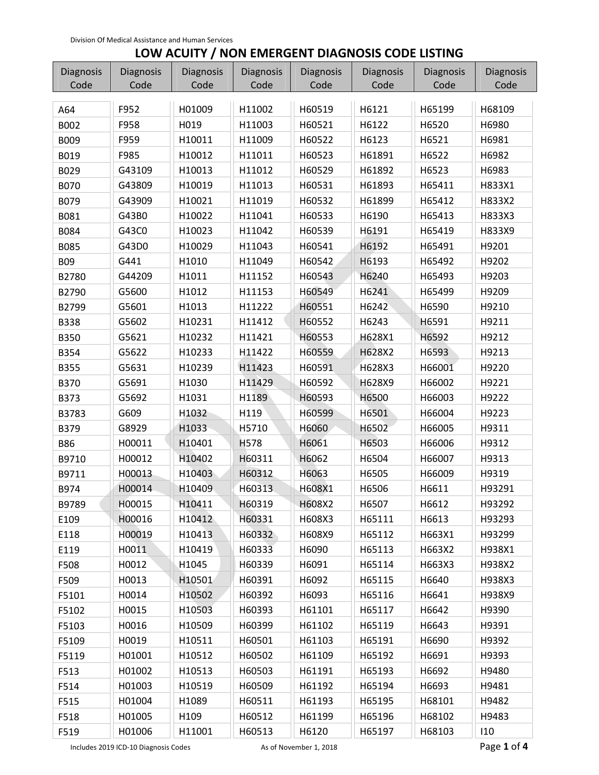## **LOW ACUITY / NON EMERGENT DIAGNOSIS CODE LISTING**

| Diagnosis   | Diagnosis | Diagnosis | Diagnosis   | Diagnosis | <b>Diagnosis</b> | Diagnosis | Diagnosis |
|-------------|-----------|-----------|-------------|-----------|------------------|-----------|-----------|
| Code        | Code      | Code      | Code        | Code      | Code             | Code      | Code      |
| A64         | F952      | H01009    | H11002      | H60519    | H6121            | H65199    | H68109    |
| B002        | F958      | H019      | H11003      | H60521    | H6122            | H6520     | H6980     |
| <b>B009</b> | F959      | H10011    | H11009      | H60522    | H6123            | H6521     | H6981     |
| B019        | F985      | H10012    | H11011      | H60523    | H61891           | H6522     | H6982     |
| B029        | G43109    | H10013    | H11012      | H60529    | H61892           | H6523     | H6983     |
| <b>B070</b> | G43809    | H10019    | H11013      | H60531    | H61893           | H65411    | H833X1    |
| B079        | G43909    | H10021    | H11019      | H60532    | H61899           | H65412    | H833X2    |
| B081        | G43B0     | H10022    | H11041      | H60533    | H6190            | H65413    | H833X3    |
| B084        | G43C0     | H10023    | H11042      | H60539    | H6191            | H65419    | H833X9    |
| <b>B085</b> | G43D0     | H10029    | H11043      | H60541    | H6192            | H65491    | H9201     |
| <b>B09</b>  | G441      | H1010     | H11049      | H60542    | H6193            | H65492    | H9202     |
| B2780       | G44209    | H1011     | H11152      | H60543    | H6240            | H65493    | H9203     |
| B2790       | G5600     | H1012     | H11153      | H60549    | H6241            | H65499    | H9209     |
| B2799       | G5601     | H1013     | H11222      | H60551    | H6242            | H6590     | H9210     |
| <b>B338</b> | G5602     | H10231    | H11412      | H60552    | H6243            | H6591     | H9211     |
| <b>B350</b> | G5621     | H10232    | H11421      | H60553    | H628X1           | H6592     | H9212     |
| B354        | G5622     | H10233    | H11422      | H60559    | H628X2           | H6593     | H9213     |
| <b>B355</b> | G5631     | H10239    | H11423      | H60591    | H628X3           | H66001    | H9220     |
| <b>B370</b> | G5691     | H1030     | H11429      | H60592    | H628X9           | H66002    | H9221     |
| B373        | G5692     | H1031     | H1189       | H60593    | H6500            | H66003    | H9222     |
| B3783       | G609      | H1032     | H119        | H60599    | H6501            | H66004    | H9223     |
| B379        | G8929     | H1033     | H5710       | H6060     | H6502            | H66005    | H9311     |
| <b>B86</b>  | H00011    | H10401    | <b>H578</b> | H6061     | H6503            | H66006    | H9312     |
| B9710       | H00012    | H10402    | H60311      | H6062     | H6504            | H66007    | H9313     |
| B9711       | H00013    | H10403    | H60312      | H6063     | H6505            | H66009    | H9319     |
| B974        | H00014    | H10409    | H60313      | H608X1    | H6506            | H6611     | H93291    |
| B9789       | H00015    | H10411    | H60319      | H608X2    | H6507            | H6612     | H93292    |
| E109        | H00016    | H10412    | H60331      | H608X3    | H65111           | H6613     | H93293    |
| E118        | H00019    | H10413    | H60332      | H608X9    | H65112           | H663X1    | H93299    |
| E119        | H0011     | H10419    | H60333      | H6090     | H65113           | H663X2    | H938X1    |
| F508        | H0012     | H1045     | H60339      | H6091     | H65114           | H663X3    | H938X2    |
| F509        | H0013     | H10501    | H60391      | H6092     | H65115           | H6640     | H938X3    |
| F5101       | H0014     | H10502    | H60392      | H6093     | H65116           | H6641     | H938X9    |
| F5102       | H0015     | H10503    | H60393      | H61101    | H65117           | H6642     | H9390     |
| F5103       | H0016     | H10509    | H60399      | H61102    | H65119           | H6643     | H9391     |
| F5109       | H0019     | H10511    | H60501      | H61103    | H65191           | H6690     | H9392     |
| F5119       | H01001    | H10512    | H60502      | H61109    | H65192           | H6691     | H9393     |
| F513        | H01002    | H10513    | H60503      | H61191    | H65193           | H6692     | H9480     |
| F514        | H01003    | H10519    | H60509      | H61192    | H65194           | H6693     | H9481     |
| F515        | H01004    | H1089     | H60511      | H61193    | H65195           | H68101    | H9482     |
| F518        | H01005    | H109      | H60512      | H61199    | H65196           | H68102    | H9483     |
| F519        | H01006    | H11001    | H60513      | H6120     | H65197           | H68103    | 110       |

Includes 2019 ICD-10 Diagnosis Codes **As of November 1, 2018 Page 1 of 4** and  $\overline{P}$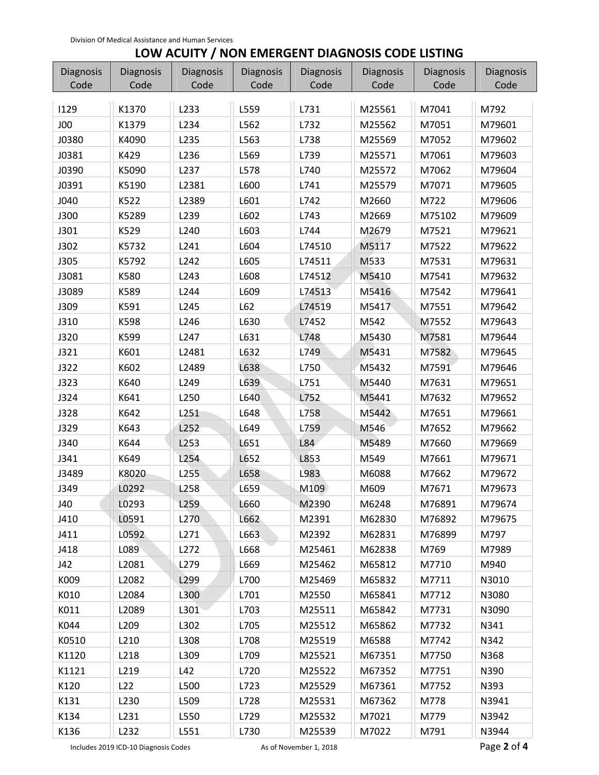## **LOW ACUITY / NON EMERGENT DIAGNOSIS CODE LISTING**

| Diagnosis   | <b>Diagnosis</b> | <b>Diagnosis</b> | Diagnosis | Diagnosis | Diagnosis | Diagnosis | Diagnosis |
|-------------|------------------|------------------|-----------|-----------|-----------|-----------|-----------|
| Code        | Code             | Code             | Code      | Code      | Code      | Code      | Code      |
| 1129        | K1370            | L233             | L559      | L731      | M25561    | M7041     | M792      |
| J00         | K1379            | L234             | L562      | L732      | M25562    | M7051     | M79601    |
| J0380       | K4090            | L235             | L563      | L738      | M25569    | M7052     | M79602    |
| J0381       | K429             | L236             | L569      | L739      | M25571    | M7061     | M79603    |
| J0390       | K5090            | L237             | L578      | L740      | M25572    | M7062     | M79604    |
| J0391       | K5190            | L2381            | L600      | L741      | M25579    | M7071     | M79605    |
| J040        | K522             | L2389            | L601      | L742      | M2660     | M722      | M79606    |
| <b>J300</b> | K5289            | L239             | L602      | L743      | M2669     | M75102    | M79609    |
| J301        | K529             | L240             | L603      | L744      | M2679     | M7521     | M79621    |
| J302        | K5732            | L241             | L604      | L74510    | M5117     | M7522     | M79622    |
| J305        | K5792            | L242             | L605      | L74511    | M533      | M7531     | M79631    |
| J3081       | K580             | L243             | L608      | L74512    | M5410     | M7541     | M79632    |
| J3089       | K589             | L244             | L609      | L74513    | M5416     | M7542     | M79641    |
| J309        | K591             | L245             | L62       | L74519    | M5417     | M7551     | M79642    |
| J310        | K598             | L246             | L630      | L7452     | M542      | M7552     | M79643    |
| J320        | K599             | L247             | L631      | L748      | M5430     | M7581     | M79644    |
| J321        | K601             | L2481            | L632      | L749      | M5431     | M7582     | M79645    |
| J322        | K602             | L2489            | L638      | L750      | M5432     | M7591     | M79646    |
| J323        | K640             | L249             | L639      | L751      | M5440     | M7631     | M79651    |
| J324        | K641             | L250             | L640      | L752      | M5441     | M7632     | M79652    |
| J328        | K642             | L251             | L648      | L758      | M5442     | M7651     | M79661    |
| J329        | K643             | L252             | L649      | L759      | M546      | M7652     | M79662    |
| J340        | K644             | L253             | L651      | L84       | M5489     | M7660     | M79669    |
| J341        | K649             | L254             | L652      | L853      | M549      | M7661     | M79671    |
| J3489       | K8020            | L255             | L658      | L983      | M6088     | M7662     | M79672    |
| J349        | L0292            | L258             | L659      | M109      | M609      | M7671     | M79673    |
| J40         | L0293            | L259             | L660      | M2390     | M6248     | M76891    | M79674    |
| J410        | L0591            | L <sub>270</sub> | L662      | M2391     | M62830    | M76892    | M79675    |
| J411        | L0592            | L271             | L663      | M2392     | M62831    | M76899    | M797      |
| J418        | L089             | L272             | L668      | M25461    | M62838    | M769      | M7989     |
| J42         | L2081            | L279             | L669      | M25462    | M65812    | M7710     | M940      |
| K009        | L2082            | L299             | L700      | M25469    | M65832    | M7711     | N3010     |
| K010        | L2084            | L300             | L701      | M2550     | M65841    | M7712     | N3080     |
| K011        | L2089            | L301             | L703      | M25511    | M65842    | M7731     | N3090     |
| K044        | L209             | L302             | L705      | M25512    | M65862    | M7732     | N341      |
| K0510       | L210             | L308             | L708      | M25519    | M6588     | M7742     | N342      |
| K1120       | L218             | L309             | L709      | M25521    | M67351    | M7750     | N368      |
| K1121       | L219             | L42              | L720      | M25522    | M67352    | M7751     | N390      |
| K120        | L22              | L500             | L723      | M25529    | M67361    | M7752     | N393      |
| K131        | L230             | L509             | L728      | M25531    | M67362    | M778      | N3941     |
| K134        | L231             | L550             | L729      | M25532    | M7021     | M779      | N3942     |
| K136        | L232             | L551             | L730      | M25539    | M7022     | M791      | N3944     |

Includes 2019 ICD-10 Diagnosis Codes **As of November 1, 2018 Page 2 of 4 Page 2 of 4**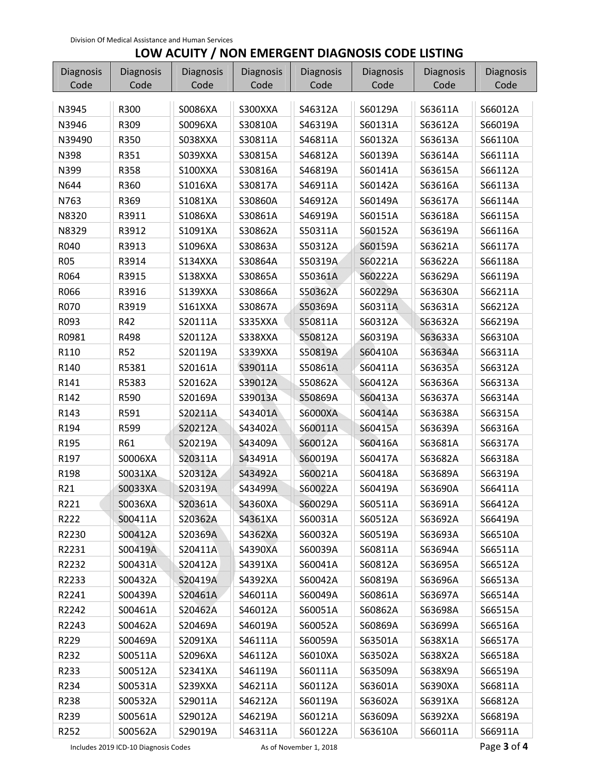## **LOW ACUITY / NON EMERGENT DIAGNOSIS CODE LISTING**

| Diagnosis  | Diagnosis  | Diagnosis | Diagnosis | <b>Diagnosis</b> | <b>Diagnosis</b> | <b>Diagnosis</b> | Diagnosis |
|------------|------------|-----------|-----------|------------------|------------------|------------------|-----------|
| Code       | Code       | Code      | Code      | Code             | Code             | Code             | Code      |
| N3945      | R300       | S0086XA   | S300XXA   | S46312A          | S60129A          | S63611A          | S66012A   |
| N3946      | R309       | S0096XA   | S30810A   | S46319A          | S60131A          | S63612A          | S66019A   |
| N39490     | R350       | S038XXA   | S30811A   | S46811A          | S60132A          | S63613A          | S66110A   |
| N398       | R351       | S039XXA   | S30815A   | S46812A          | S60139A          | S63614A          | S66111A   |
| N399       | R358       | S100XXA   | S30816A   | S46819A          | S60141A          | S63615A          | S66112A   |
| N644       | R360       | S1016XA   | S30817A   | S46911A          | S60142A          | S63616A          | S66113A   |
| N763       | R369       | S1081XA   | S30860A   | S46912A          | S60149A          | S63617A          | S66114A   |
| N8320      | R3911      | S1086XA   | S30861A   | S46919A          | S60151A          | S63618A          | S66115A   |
| N8329      | R3912      | S1091XA   | S30862A   | S50311A          | S60152A          | S63619A          | S66116A   |
| R040       | R3913      | S1096XA   | S30863A   | S50312A          | S60159A          | S63621A          | S66117A   |
| <b>R05</b> | R3914      | S134XXA   | S30864A   | S50319A          | S60221A          | S63622A          | S66118A   |
| R064       | R3915      | S138XXA   | S30865A   | S50361A          | S60222A          | S63629A          | S66119A   |
| R066       | R3916      | S139XXA   | S30866A   | S50362A          | S60229A          | S63630A          | S66211A   |
| R070       | R3919      | S161XXA   | S30867A   | S50369A          | S60311A          | S63631A          | S66212A   |
| R093       | R42        | S20111A   | S335XXA   | S50811A          | S60312A          | S63632A          | S66219A   |
| R0981      | R498       | S20112A   | S338XXA   | S50812A          | S60319A          | S63633A          | S66310A   |
| R110       | <b>R52</b> | S20119A   | S339XXA   | S50819A          | S60410A          | S63634A          | S66311A   |
| R140       | R5381      | S20161A   | S39011A   | S50861A          | S60411A          | S63635A          | S66312A   |
| R141       | R5383      | S20162A   | S39012A   | S50862A          | S60412A          | S63636A          | S66313A   |
| R142       | R590       | S20169A   | S39013A   | S50869A          | S60413A          | S63637A          | S66314A   |
| R143       | R591       | S20211A   | S43401A   | <b>S6000XA</b>   | S60414A          | S63638A          | S66315A   |
| R194       | R599       | S20212A   | S43402A   | S60011A          | S60415A          | S63639A          | S66316A   |
| R195       | R61        | S20219A   | S43409A   | S60012A          | S60416A          | S63681A          | S66317A   |
| R197       | S0006XA    | S20311A   | S43491A   | S60019A          | S60417A          | S63682A          | S66318A   |
| R198       | S0031XA    | S20312A   | S43492A   | S60021A          | S60418A          | S63689A          | S66319A   |
| R21        | S0033XA    | S20319A   | S43499A   | S60022A          | S60419A          | S63690A          | S66411A   |
| R221       | S0036XA    | S20361A   | S4360XA   | S60029A          | S60511A          | S63691A          | S66412A   |
| R222       | S00411A    | S20362A   | S4361XA   | S60031A          | S60512A          | S63692A          | S66419A   |
| R2230      | S00412A    | S20369A   | S4362XA   | S60032A          | S60519A          | S63693A          | S66510A   |
| R2231      | S00419A    | S20411A   | S4390XA   | S60039A          | S60811A          | S63694A          | S66511A   |
| R2232      | S00431A    | S20412A   | S4391XA   | S60041A          | S60812A          | S63695A          | S66512A   |
| R2233      | S00432A    | S20419A   | S4392XA   | S60042A          | S60819A          | S63696A          | S66513A   |
| R2241      | S00439A    | S20461A   | S46011A   | S60049A          | S60861A          | S63697A          | S66514A   |
| R2242      | S00461A    | S20462A   | S46012A   | S60051A          | S60862A          | S63698A          | S66515A   |
| R2243      | S00462A    | S20469A   | S46019A   | S60052A          | S60869A          | S63699A          | S66516A   |
| R229       | S00469A    | S2091XA   | S46111A   | S60059A          | S63501A          | S638X1A          | S66517A   |
| R232       | S00511A    | S2096XA   | S46112A   | S6010XA          | S63502A          | S638X2A          | S66518A   |
| R233       | S00512A    | S2341XA   | S46119A   | S60111A          | S63509A          | S638X9A          | S66519A   |
| R234       | S00531A    | S239XXA   | S46211A   | S60112A          | S63601A          | S6390XA          | S66811A   |
| R238       | S00532A    | S29011A   | S46212A   | S60119A          | S63602A          | S6391XA          | S66812A   |
| R239       | S00561A    | S29012A   | S46219A   | S60121A          | S63609A          | S6392XA          | S66819A   |
| R252       | S00562A    | S29019A   | S46311A   | S60122A          | S63610A          | S66011A          | S66911A   |

Includes 2019 ICD-10 Diagnosis Codes **As of November 1, 2018 Page 3 of 4** and  $\blacksquare$